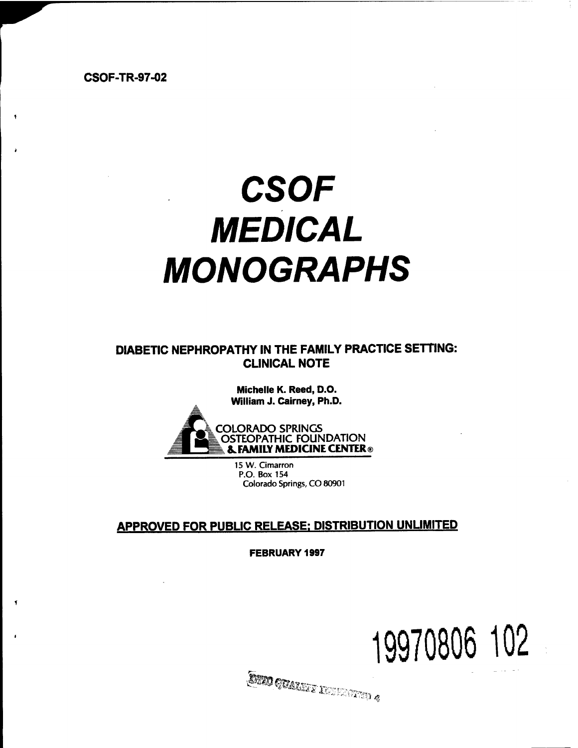**CSOF-TR-97-02**

# *CSOF MEDICAL MONOGRAPHS*

**DIABETIC NEPHROPATHY IN THE FAMILY PRACTICE SETTING: CLINICAL NOTE**

> **Michelle K. Reed, D.O.** William J. Cairney, Ph.D.



15 W. Cimarron P.O. Box 154 Colorado Springs, CO 80901

## **APPROVED FOR PUBLIC RELEASE: DISTRIBUTION UNLIMITED**

**FEBRUARY 1997**

**SINO QUARTE REFERENCE** 

**19970806 102**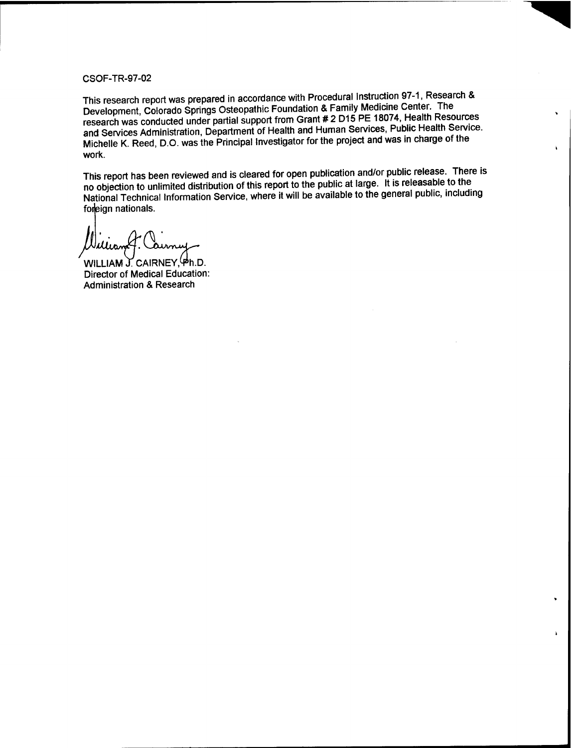#### CSOF-TR-97-02

This research report was prepared in accordance with Procedural Instruction 97-1, Research & Development, Colorado Springs Osteopathic Foundation & Family Medicine Center. The research was conducted under partial support from Grant # 2 D15 PE 18074, Health Resources and Services Administration, Department of Health and Human Services, Public Health Service. Michelle K. Reed, D.O. was the Principal Investigator for the project and was in charge of the work.

This report has been reviewed and is cleared for open publication and/or public release. There is no objection to unlimited distribution of this report to the public at large. It is releasable to the National Technical Information Service, where it will be available to the general public, including foreign nationals.

WILLIAM J. CAIRNEY,  $\Phi$ h.D. Director of Medical Education: Administration & Research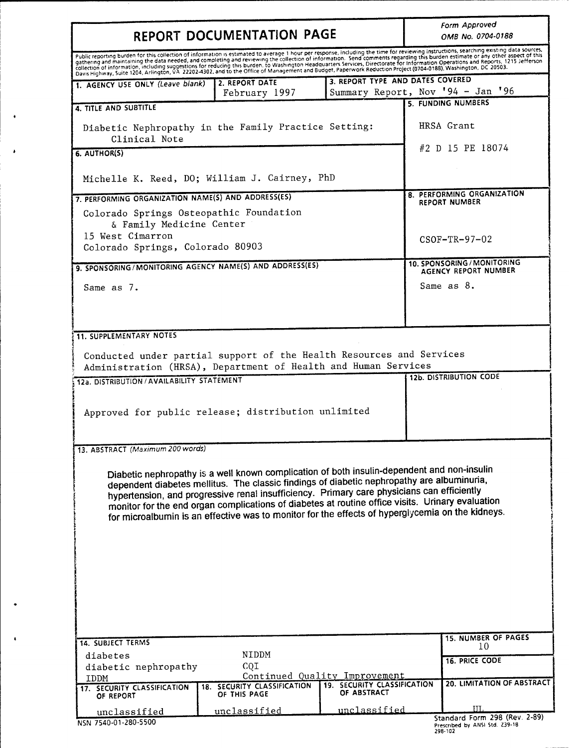| REPORT DOCUMENTATION PAGE                                                                                                                                                                                                                                                                                                                                                                                                                                                                                                                                                                                                                                                                                                           |                                             |                                            | Form Approved<br>OMB No. 0704-0188                         |
|-------------------------------------------------------------------------------------------------------------------------------------------------------------------------------------------------------------------------------------------------------------------------------------------------------------------------------------------------------------------------------------------------------------------------------------------------------------------------------------------------------------------------------------------------------------------------------------------------------------------------------------------------------------------------------------------------------------------------------------|---------------------------------------------|--------------------------------------------|------------------------------------------------------------|
| Public reporting burden for this collection of information is estimated to average 1 hour per response, including the time for reviewing instructions, searching existing data sources,<br>gathering and maintaining the data needed, and completing and reviewing the collection of information. Send comments regarding this burden estimate or any other aspect of this<br>collection of information, including suggestions for reducing this burden. to Washington Headquarters Services, Directorate for Information Operations and Reports, 1215 Jefferson<br>Davis Highway, Suite 1204, Arlington, VA 22202-4302, and to the Office of Management and Budget, Paperwork Reduction Project (0704-0188), Washington, DC 20503. |                                             |                                            |                                                            |
| 1. AGENCY USE ONLY (Leave blank)                                                                                                                                                                                                                                                                                                                                                                                                                                                                                                                                                                                                                                                                                                    | 2. REPORT DATE                              | 3. REPORT TYPE AND DATES COVERED           |                                                            |
|                                                                                                                                                                                                                                                                                                                                                                                                                                                                                                                                                                                                                                                                                                                                     | February 1997                               |                                            | Summary Report, Nov '94 - Jan '96<br>5. FUNDING NUMBERS    |
| 4. TITLE AND SUBTITLE                                                                                                                                                                                                                                                                                                                                                                                                                                                                                                                                                                                                                                                                                                               |                                             |                                            |                                                            |
| Diabetic Nephropathy in the Family Practice Setting:<br>Clinical Note                                                                                                                                                                                                                                                                                                                                                                                                                                                                                                                                                                                                                                                               |                                             |                                            | HRSA Grant                                                 |
| 6. AUTHOR(S)                                                                                                                                                                                                                                                                                                                                                                                                                                                                                                                                                                                                                                                                                                                        |                                             |                                            | #2 D 15 PE 18074                                           |
| Michelle K. Reed, DO; William J. Cairney, PhD                                                                                                                                                                                                                                                                                                                                                                                                                                                                                                                                                                                                                                                                                       |                                             |                                            |                                                            |
| 7. PERFORMING ORGANIZATION NAME(S) AND ADDRESS(ES)                                                                                                                                                                                                                                                                                                                                                                                                                                                                                                                                                                                                                                                                                  |                                             |                                            | 8. PERFORMING ORGANIZATION                                 |
| Colorado Springs Osteopathic Foundation<br>& Family Medicine Center                                                                                                                                                                                                                                                                                                                                                                                                                                                                                                                                                                                                                                                                 |                                             |                                            | <b>REPORT NUMBER</b>                                       |
| 15 West Cimarron                                                                                                                                                                                                                                                                                                                                                                                                                                                                                                                                                                                                                                                                                                                    |                                             |                                            | $CSOF-TR-97-02$                                            |
| Colorado Springs, Colorado 80903                                                                                                                                                                                                                                                                                                                                                                                                                                                                                                                                                                                                                                                                                                    |                                             |                                            |                                                            |
| 9. SPONSORING/MONITORING AGENCY NAME(S) AND ADDRESS(ES)                                                                                                                                                                                                                                                                                                                                                                                                                                                                                                                                                                                                                                                                             |                                             |                                            | 10. SPONSORING / MONITORING<br><b>AGENCY REPORT NUMBER</b> |
| Same as 7.                                                                                                                                                                                                                                                                                                                                                                                                                                                                                                                                                                                                                                                                                                                          |                                             |                                            | Same as 8.                                                 |
|                                                                                                                                                                                                                                                                                                                                                                                                                                                                                                                                                                                                                                                                                                                                     |                                             |                                            |                                                            |
| <b>11. SUPPLEMENTARY NOTES</b><br>Conducted under partial support of the Health Resources and Services<br>Administration (HRSA), Department of Health and Human Services                                                                                                                                                                                                                                                                                                                                                                                                                                                                                                                                                            |                                             |                                            |                                                            |
| 12a. DISTRIBUTION / AVAILABILITY STATEMENT                                                                                                                                                                                                                                                                                                                                                                                                                                                                                                                                                                                                                                                                                          |                                             |                                            | <b>12b. DISTRIBUTION CODE</b>                              |
| Approved for public release; distribution unlimited                                                                                                                                                                                                                                                                                                                                                                                                                                                                                                                                                                                                                                                                                 |                                             |                                            |                                                            |
|                                                                                                                                                                                                                                                                                                                                                                                                                                                                                                                                                                                                                                                                                                                                     |                                             |                                            |                                                            |
| 13. ABSTRACT (Maximum 200 words)                                                                                                                                                                                                                                                                                                                                                                                                                                                                                                                                                                                                                                                                                                    |                                             |                                            |                                                            |
| Diabetic nephropathy is a well known complication of both insulin-dependent and non-insulin<br>dependent diabetes mellitus. The classic findings of diabetic nephropathy are albuminuria,<br>hypertension, and progressive renal insufficiency. Primary care physicians can efficiently<br>monitor for the end organ complications of diabetes at routine office visits. Urinary evaluation<br>for microalbumin is an effective was to monitor for the effects of hyperglycemia on the kidneys.                                                                                                                                                                                                                                     |                                             |                                            |                                                            |
| <b>14. SUBJECT TERMS</b>                                                                                                                                                                                                                                                                                                                                                                                                                                                                                                                                                                                                                                                                                                            |                                             |                                            | <b>15. NUMBER OF PAGES</b><br>10                           |
| diabetes                                                                                                                                                                                                                                                                                                                                                                                                                                                                                                                                                                                                                                                                                                                            | NIDDM<br>CQI                                |                                            | <b>16. PRICE CODE</b>                                      |
| diabetic nephropathy<br>IDDM                                                                                                                                                                                                                                                                                                                                                                                                                                                                                                                                                                                                                                                                                                        |                                             | Continued Quality Improvement              |                                                            |
| 17. SECURITY CLASSIFICATION<br>OF REPORT                                                                                                                                                                                                                                                                                                                                                                                                                                                                                                                                                                                                                                                                                            | 18. SECURITY CLASSIFICATION<br>OF THIS PAGE | 19. SECURITY CLASSIFICATION<br>OF ABSTRACT | 20. LIMITATION OF ABSTRACT                                 |
| unclassified<br>NSN 7540-01-280-5500                                                                                                                                                                                                                                                                                                                                                                                                                                                                                                                                                                                                                                                                                                | unclassified                                | unclassified                               | III.<br>Standard Form 298 (Rev. 2-89)                      |

 $\bullet$ 

 $\hat{\textbf{r}}$ 

 $\bullet$ 

 $\hat{\mathbf{r}}$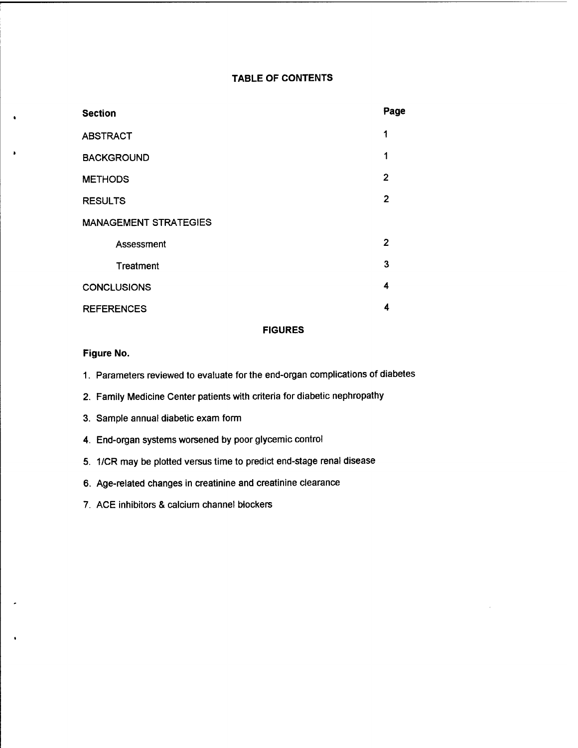#### **TABLE OF CONTENTS**

| <b>Section</b>               | Page           |
|------------------------------|----------------|
| <b>ABSTRACT</b>              | 1              |
| <b>BACKGROUND</b>            | 1              |
| <b>METHODS</b>               | $\overline{2}$ |
| <b>RESULTS</b>               | $\overline{2}$ |
| <b>MANAGEMENT STRATEGIES</b> |                |
| Assessment                   | 2              |
| Treatment                    | 3              |
| <b>CONCLUSIONS</b>           | 4              |
| <b>REFERENCES</b>            | 4              |

#### **FIGURES**

#### **Figure No.**

1. Parameters reviewed to evaluate for the end-organ complications of diabetes

2. Family Medicine Center patients with criteria for diabetic nephropathy

- 3. Sample annual diabetic exam form
- 4. End-organ systems worsened by poor glycemic control
- 5. 1/CR may be plotted versus time to predict end-stage renal disease
- 6. Age-related changes in creatinine and creatinine clearance
- 7. ACE inhibitors & calcium channel blockers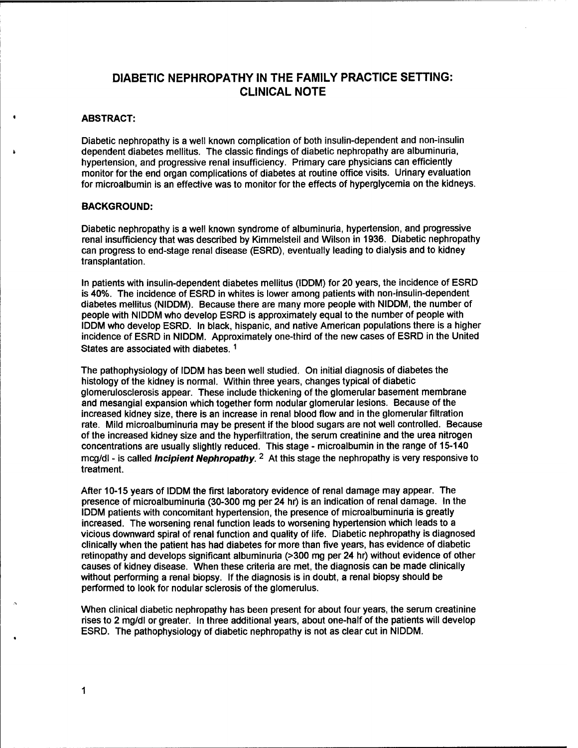### **DIABETIC NEPHROPATHY IN THE FAMILY PRACTICE SETTING: CLINICAL NOTE**

#### **ABSTRACT:**

Diabetic nephropathy is a well known complication of both insulin-dependent and non-insulin dependent diabetes mellitus. The classic findings of diabetic nephropathy are albuminuria, hypertension, and progressive renal insufficiency. Primary care physicians can efficiently monitor for the end organ complications of diabetes at routine office visits. Urinary evaluation for microalbumin is an effective was to monitor for the effects of hyperglycemia on the kidneys.

#### **BACKGROUND:**

Diabetic nephropathy is a well known syndrome of albuminuria, hypertension, and progressive renal insufficiency that was described by Kimmelsteil and Wilson in 1936. Diabetic nephropathy can progress to end-stage renal disease (ESRD), eventually leading to dialysis and to kidney transplantation.

In patients with insulin-dependent diabetes mellitus (IDDM) for 20 years, the incidence of ESRD is 40%. The incidence of ESRD in whites is lower among patients with non-insulin-dependent diabetes mellitus (NIDDM). Because there are many more people with NIDDM, the number of people with NIDDM who develop ESRD is approximately equal to the number of people with IDDM who develop ESRD. In black, hispanic, and native American populations there is a higher incidence of ESRD in NIDDM. Approximately one-third of the new cases of ESRD in the United States are associated with diabetes.<sup>1</sup>

The pathophysiology of IDDM has been well studied. On initial diagnosis of diabetes the histology of the kidney is normal. Within three years, changes typical of diabetic glomerulosclerosis appear. These include thickening of the glomerular basement membrane and mesangial expansion which together form nodular glomerular lesions. Because of the increased kidney size, there is an increase in renal blood flow and in the glomerular filtration rate. Mild microalbuminuria may be present if the blood sugars are not well controlled. Because of the increased kidney size and the hyperfiltration, the serum creatinine and the urea nitrogen concentrations are usually slightly reduced. This stage - microalbumin in the range of 15-140 mcg/dl - is called *Incipient Nephropathy. <sup>2</sup>* At this stage the nephropathy is very responsive to treatment.

After 10-15 years of IDDM the first laboratory evidence of renal damage may appear. The presence of microalbuminuria (30-300 mg per 24 hr) is an indication of renal damage. In the IDDM patients with concomitant hypertension, the presence of microalbuminuria is greatly increased. The worsening renal function leads to worsening hypertension which leads to a vicious downward spiral of renal function and quality of life. Diabetic nephropathy is diagnosed clinically when the patient has had diabetes for more than five years, has evidence of diabetic retinopathy and develops significant albuminuria (>300 mg per 24 hr) without evidence of other causes of kidney disease. When these criteria are met, the diagnosis can be made clinically without performing a renal biopsy. If the diagnosis is in doubt, a renal biopsy should be performed to look for nodular sclerosis of the giomerulus.

When clinical diabetic nephropathy has been present for about four years, the serum creatinine rises to 2 mg/dl or greater. In three additional years, about one-half of the patients will develop ESRD. The pathophysiology of diabetic nephropathy is not as clear cut in NIDDM.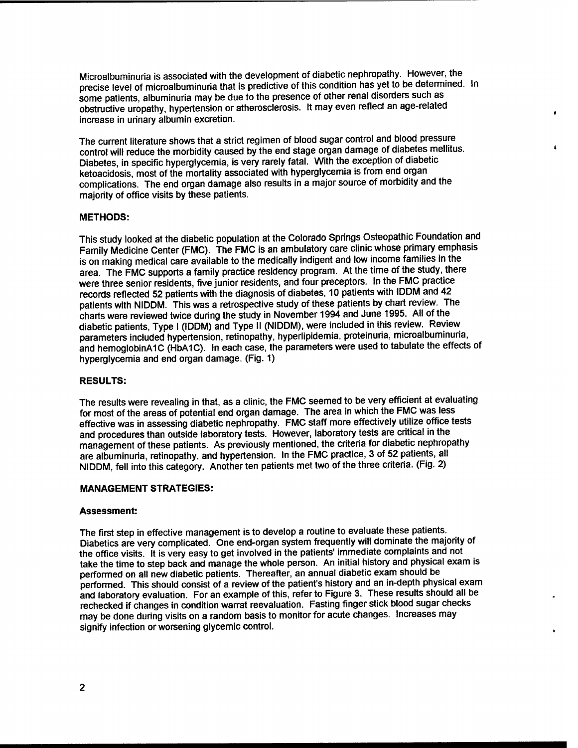Microalbuminuria is associated with the development of diabetic nephropathy. However, the precise level of microalbuminuria that is predictive of this condition has yet to be determined. In some patients, albuminuria may be due to the presence of other renal disorders such as obstructive uropathy, hypertension or atherosclerosis. It may even reflect an age-related increase in urinary albumin excretion.

The current literature shows that a strict regimen of blood sugar control and blood pressure control will reduce the morbidity caused by the end stage organ damage of diabetes mellitus. Diabetes, in specific hyperglycemia, is very rarely fatal. With the exception of diabetic ketoacidosis, most of the mortality associated with hyperglycemia is from end organ complications. The end organ damage also results in a major source of morbidity and the majority of office visits by these patients.

#### **METHODS:**

This study looked at the diabetic population at the Colorado Springs Osteopathic Foundation and Family Medicine Center (FMC). The FMC is an ambulatory care clinic whose primary emphasis is on making medical care available to the medically indigent and low income families in the area. The FMC supports a family practice residency program. At the time of the study, there were three senior residents, five junior residents, and four preceptors. In the FMC practice records reflected 52 patients with the diagnosis of diabetes, 10 patients with IDDM and 42 patients with NIDDM. This was a retrospective study of these patients by chart review. The charts were reviewed twice during the study in November 1994 and June 1995. All of the diabetic patients, Type <sup>I</sup> (IDDM) and Type II (NIDDM), were included in this review. Review parameters included hypertension, retinopathy, hyperlipidemia, proteinuria, microalbuminuria, and hemoglobinAIC (HbA1C). In each case, the parameters were used to tabulate the effects of hyperglycemia and end organ damage. (Fig. 1)

#### **RESULTS:**

The results were revealing in that, as a clinic, the FMC seemed to be very efficient at evaluating for most of the areas of potential end organ damage. The area in which the FMC was less effective was in assessing diabetic nephropathy. FMC staff more effectively utilize office tests and procedures than outside laboratory tests. However, laboratory tests are critical in the management of these patients. As previously mentioned, the criteria for diabetic nephropathy are albuminuria, retinopathy, and hypertension. In the FMC practice, 3 of 52 patients, all NIDDM, fell into this category. Another ten patients met two of the three criteria. (Fig. 2)

#### **MANAGEMENT STRATEGIES:**

#### **Assessment:**

The first step in effective management is to develop a routine to evaluate these patients. Diabetics are very complicated. One end-organ system frequently will dominate the majority of the office visits. It is very easy to get involved in the patients' immediate complaints and not take the time to step back and manage the whole person. An initial history and physical exam is performed on all new diabetic patients. Thereafter, an annual diabetic exam should be performed. This should consist of a review of the patient's history and an in-depth physical exam and laboratory evaluation. For an example of this, refer to Figure 3. These results should all be rechecked if changes in condition warrat reevaluation. Fasting finger stick blood sugar checks may be done during visits on a random basis to monitor for acute changes. Increases may signify infection or worsening glycemic control.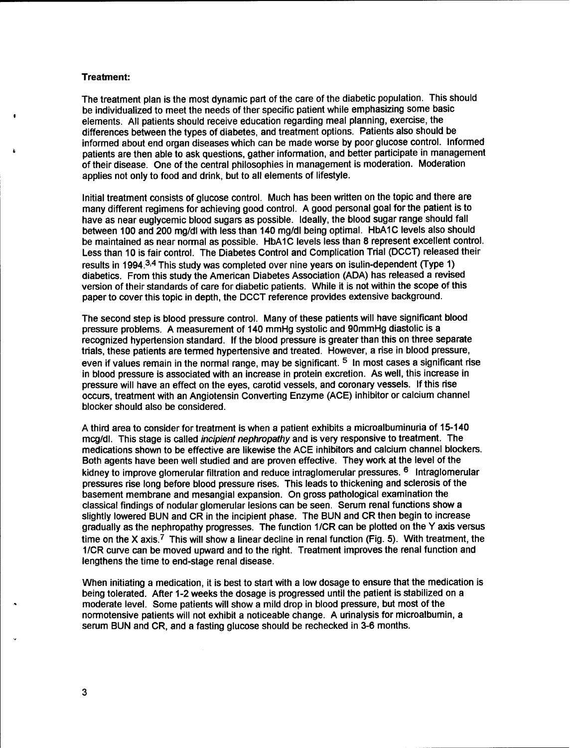#### Treatment:

The treatment plan is the most dynamic part of the care of the diabetic population. This should be individualized to meet the needs of ther specific patient while emphasizing some basic elements. All patients should receive education regarding meal planning, exercise, the differences between the types of diabetes, and treatment options. Patients also should be informed about end organ diseases which can be made worse by poor glucose control. Informed patients are then able to ask questions, gather information, and better participate in management of their disease. One of the central philosophies in management is moderation. Moderation applies not only to food and drink, but to all elements of lifestyle.

Initial treatment consists of glucose control. Much has been written on the topic and there are many different regimens for achieving good control. A good personal goal for the patient is to have as near eugiveemic blood sugars as possible. Ideally, the blood sugar range should fall between 100 and 200 mg/dl with less than 140 mg/dl being optimal. HbA1C levels also should be maintained as near normal as possible. HbA1C levels less than 8 represent excellent control. Less than 10 is fair control. The Diabetes Control and Complication Trial (DCCT) released their results in 1994.<sup>34</sup> This study was completed over nine years on isulin-dependent (Type 1) diabetics. From this study the American Diabetes Association (ADA) has released a revised version of their standards of care for diabetic patients. While it is not within the scope of this paper to cover this topic in depth, the DCCT reference provides extensive background.

The second step is blood pressure control. Many of these patients will have significant blood pressure problems. A measurement of 140 mmHg systolic and 90mmHg diastolic is a recognized hypertension standard. If the blood pressure is greater than this on three separate trials, these patients are termed hypertensive and treated. However, a rise in blood pressure, even if values remain in the normal range, may be significant. <sup>5</sup> In most cases a significant rise in blood pressure is associated with an increase in protein excretion. As well, this increase in pressure will have an effect on the eyes, carotid vessels, and coronary vessels. If this rise occurs, treatment with an Angiotensin Converting Enzyme (ACE) inhibitor or calcium channel blocker should also be considered.

A third area to consider for treatment is when a patient exhibits a microalbuminuria of 15-140 mcg/dl. This stage is called *incipient nephropathy* and is very responsive to treatment. The medications shown to be effective are likewise the ACE inhibitors and calcium channel blockers. Both agents have been well studied and are proven effective. They work at the level of the kidney to improve glomerular filtration and reduce intraglomerular pressures. <sup>6</sup> Intraglomerular pressures rise long before blood pressure rises. This leads to thickening and sclerosis of the basement membrane and mesangial expansion. On gross pathological examination the classical findings of nodular glomerular lesions can be seen. Serum renal functions show a slightly lowered BUN and CR in the incipient phase. The BUN and CR then begin to increase gradually as the nephropathy progresses. The function 1/CR can be plotted on the Y axis versus time on the X axis.<sup>7</sup> This will show a linear decline in renal function (Fig. 5). With treatment, the 1/CR curve can be moved upward and to the right. Treatment improves the renal function and lengthens the time to end-stage renal disease.

When initiating a medication, it is best to start with a low dosage to ensure that the medication is being tolerated. After 1-2 weeks the dosage is progressed until the patient is stabilized on a moderate level. Some patients will show a mild drop in blood pressure, but most of the normotensive patients will not exhibit a noticeable change. A urinalysis for microalbumin, a serum BUN and CR, and a fasting glucose should be rechecked in 3-6 months.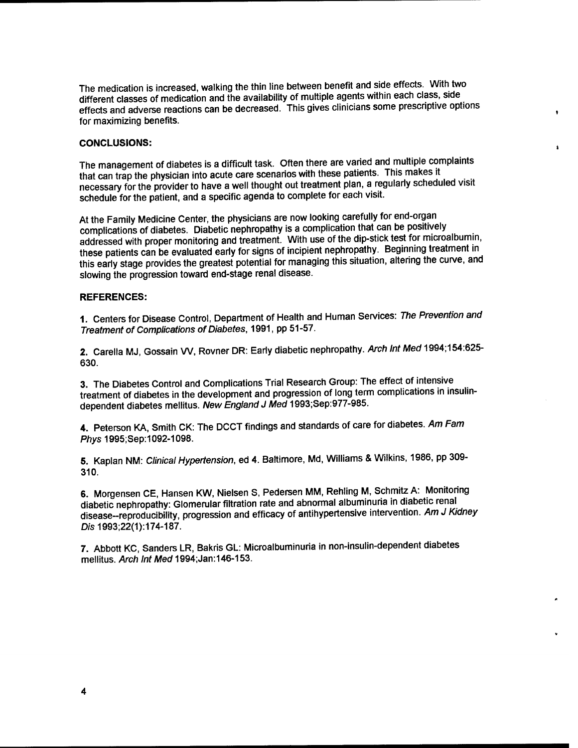The medication is increased, walking the thin line between benefit and side effects. With two different classes of medication and the availability of multiple agents within each class, side effects and adverse reactions can be decreased. This gives clinicians some prescriptive options for maximizing benefits.

#### **CONCLUSIONS:**

The management of diabetes is a difficult task. Often there are varied and multiple complaints that can trap the physician into acute care scenarios with these patients. This makes it necessary for the provider to have a well thought out treatment plan, a regularly scheduled visit schedule for the patient, and a specific agenda to complete for each visit.

At the Family Medicine Center, the physicians are now looking carefully for end-organ complications of diabetes. Diabetic nephropathy is a complication that can be positively addressed with proper monitoring and treatment. With use of the dip-stick test for microalbumin, these patients can be evaluated early for signs of incipient nephropathy. Beginning treatment in this early stage provides the greatest potential for managing this situation, altering the curve, and slowing the progression toward end-stage renal disease.

#### **REFERENCES:**

**1.** Centers for Disease Control, Department of Health and Human Services: *The Prevention and Treatment of Complications of Diabetes,* 1991, pp 51-57.

2. Carella MJ, Gossain W, Rovner DR: Early diabetic nephropathy. *Arch Int Med* 1994;154:625- 630.

3. The Diabetes Control and Complications Trial Research Group: The effect of intensive treatment of diabetes in the development and progression of long term complications in insulindependent diabetes mellitus. *New England J Med* 1993;Sep:977-985.

4. Peterson KA, Smith CK: The DCCT findings and standards of care for diabetes. *Am Fam Phys* 1995;Sep:1092-1098.

5. Kaplan NM: *Clinical Hypertension,* ed 4. Baltimore, Md, Williams & Wilkins, 1986, pp 309- 310.

6. Morgensen CE, Hansen KW, Nielsen S, Pedersen MM, Rehling M, Schmitz A: Monitoring diabetic nephropathy: Glomerular filtration rate and abnormal albuminuria in diabetic renal disease-reproducibility, progression and efficacy of antihypertensive intervention. *Am J Kidney Dis* 1993;22(1):174-187.

7. Abbott KC, Sanders LR, Bakris GL: Microalbuminuria in non-insulin-dependent diabetes mellitus. *Arch Int* Med 1994;Jan: 146-153.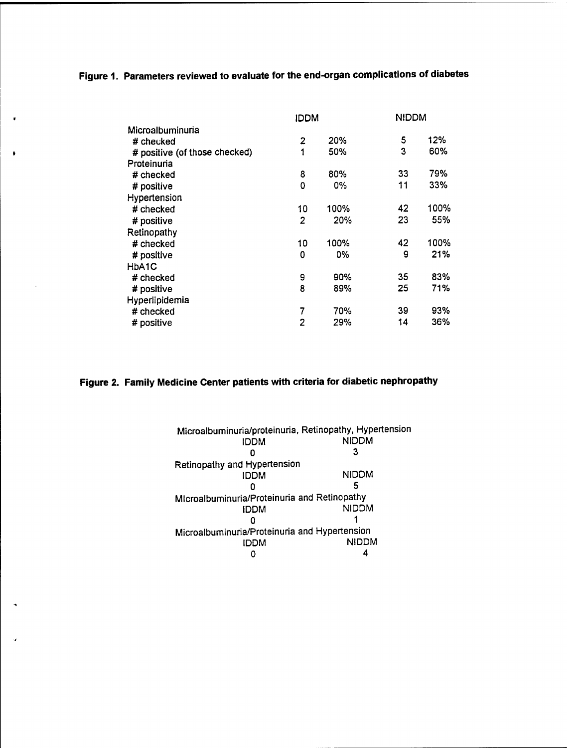## **Figure 1. Parameters reviewed to evaluate for the end-organ complications of diabetes**

 $\mathbf{r}$ 

 $\bullet$ 

 $\hat{\phantom{a}}$ 

Ù,

|                               | IDDM |      | <b>NIDDM</b> |      |
|-------------------------------|------|------|--------------|------|
| Microalbuminuria              |      |      |              |      |
| # checked                     | 2    | 20%  | 5            | 12%  |
| # positive (of those checked) | 1    | 50%  | 3            | 60%  |
| Proteinuria                   |      |      |              |      |
| # checked                     | 8    | 80%  | 33           | 79%  |
| # positive                    | 0    | 0%   | 11           | 33%  |
| Hypertension                  |      |      |              |      |
| $#$ checked                   | 10   | 100% | 42           | 100% |
| # positive                    | 2    | 20%  | 23           | 55%  |
| Retinopathy                   |      |      |              |      |
| # checked                     | 10   | 100% | 42           | 100% |
| # positive                    | 0    | 0%   | 9            | 21%  |
| HbA1C                         |      |      |              |      |
| # checked                     | 9    | 90%  | 35           | 83%  |
| # positive                    | 8    | 89%  | 25           | 71%  |
| Hyperlipidemia                |      |      |              |      |
| # checked                     | 7    | 70%  | 39           | 93%  |
| # positive                    | 2    | 29%  | 14           | 36%  |

## **Figure 2. Family Medicine Center patients with criteria for diabetic nephropathy**

| Microalbuminuria/proteinuria, Retinopathy, Hypertension |              |
|---------------------------------------------------------|--------------|
| <b>IDDM</b>                                             | <b>NIDDM</b> |
|                                                         |              |
| Retinopathy and Hypertension                            |              |
| IDDM                                                    | NIDDM        |
|                                                         |              |
| Microalbuminuria/Proteinuria and Retinopathy            |              |
| IDDM                                                    | <b>NIDDM</b> |
|                                                         |              |
| Microalbuminuria/Proteinuria and Hypertension           |              |
| <b>IDDM</b>                                             | <b>NIDDM</b> |
|                                                         |              |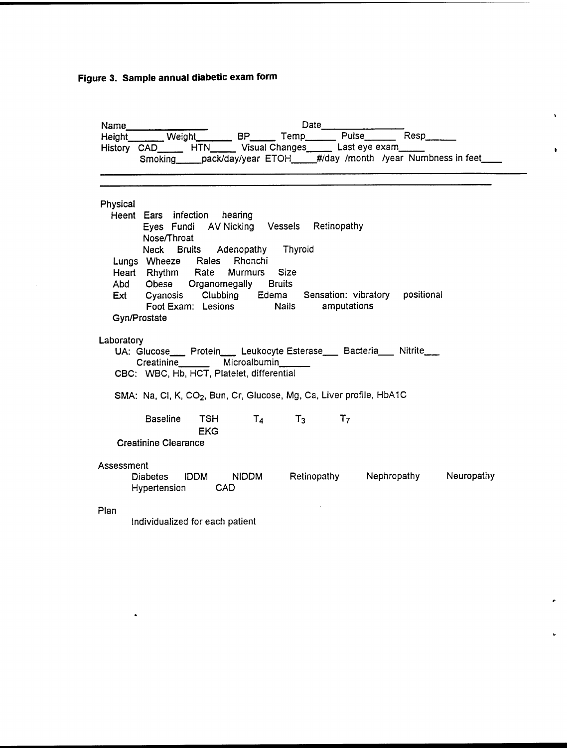**Figure 3. Sample annual diabetic exam form**

 $\bullet$ 

|            | Name                                                                                                                                                                                                                         |                                | Date                                                                              |                                                                             |
|------------|------------------------------------------------------------------------------------------------------------------------------------------------------------------------------------------------------------------------------|--------------------------------|-----------------------------------------------------------------------------------|-----------------------------------------------------------------------------|
|            | Height Weight BP Temp Pulse Resp                                                                                                                                                                                             |                                |                                                                                   |                                                                             |
|            | History CAD HTN Visual Changes Last eye exam                                                                                                                                                                                 |                                |                                                                                   | Smoking ____pack/day/year ETOH_____#/day /month /year Numbness in feet_____ |
| Physical   | Heent Ears infection hearing<br>Nose/Throat<br>Lungs Wheeze Rales Rhonchi<br>Heart Rhythm Rate Murmurs Size<br>Abd Obese Organomegally Bruits<br>Ext Cyanosis Clubbing Edema Sensation: vibratory positional<br>Gyn/Prostate | Neck Bruits Adenopathy Thyroid | Eyes Fundi AV Nicking Vessels Retinopathy<br>Foot Exam: Lesions Mails amputations |                                                                             |
| Laboratory | UA: Glucose___ Protein___ Leukocyte Esterase___ Bacteria___ Nitrite___<br>Creatinine Microalbumin<br>CBC: WBC, Hb, HCT, Platelet, differential                                                                               |                                |                                                                                   |                                                                             |
|            | SMA: Na, Cl, K, CO <sub>2</sub> , Bun, Cr, Glucose, Mg, Ca, Liver profile, HbA1C                                                                                                                                             |                                |                                                                                   |                                                                             |
|            | <b>EKG</b><br><b>Creatinine Clearance</b>                                                                                                                                                                                    |                                | Baseline TSH $T_4$ $T_3$ $T_7$                                                    |                                                                             |
| Assessment | Diabetes IDDM NIDDM Retinopathy Nephropathy Neuropathy<br>Hypertension CAD                                                                                                                                                   |                                |                                                                                   |                                                                             |
| Plan       | Individualized for each patient                                                                                                                                                                                              |                                |                                                                                   |                                                                             |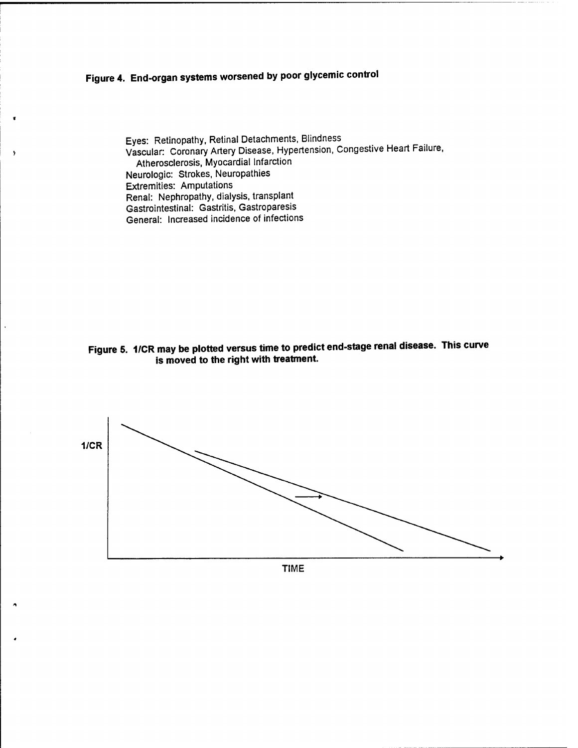# **Figure 4. End-organ systems worsened by poor glycemic control**

 $\mathbf{y}$ 

Eyes: Retinopathy, Retinal Detachments, Blindness Vascular: Coronary Artery Disease, Hypertension, Congestive Heart Failure, Atherosclerosis, Myocardial Infarction Neurologic: Strokes, Neuropathies Extremities: Amputations Renal: Nephropathy, dialysis, transplant Gastrointestinal: Gastritis, Gastroparesis General: Increased incidence of infections

**Figure 5. 1/CR may be plotted versus time to predict end-stage renal disease. This curve is moved to the right with treatment.**



TIME